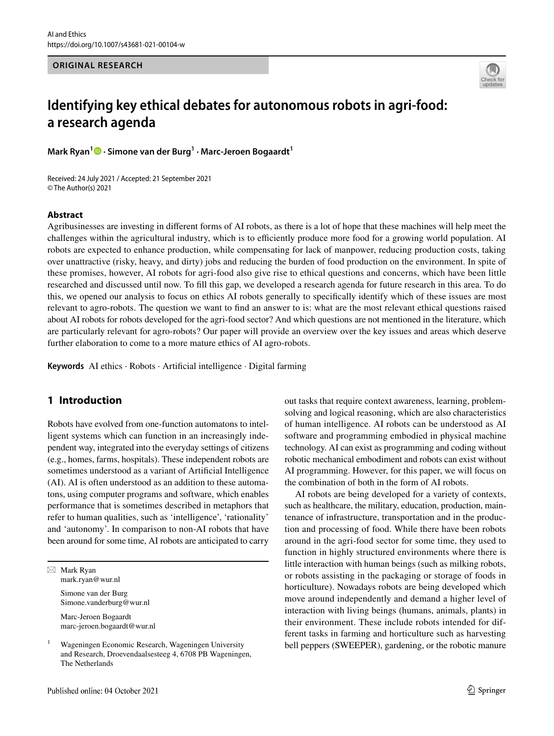**ORIGINAL RESEARCH**



# **Identifying key ethical debates for autonomous robots in agri‑food: a research agenda**

**Mark Ryan<sup>1</sup> · Simone van der Burg<sup>1</sup> · Marc‑Jeroen Bogaardt<sup>1</sup>**

Received: 24 July 2021 / Accepted: 21 September 2021 © The Author(s) 2021

## **Abstract**

Agribusinesses are investing in diferent forms of AI robots, as there is a lot of hope that these machines will help meet the challenges within the agricultural industry, which is to efficiently produce more food for a growing world population. AI robots are expected to enhance production, while compensating for lack of manpower, reducing production costs, taking over unattractive (risky, heavy, and dirty) jobs and reducing the burden of food production on the environment. In spite of these promises, however, AI robots for agri-food also give rise to ethical questions and concerns, which have been little researched and discussed until now. To fll this gap, we developed a research agenda for future research in this area. To do this, we opened our analysis to focus on ethics AI robots generally to specifcally identify which of these issues are most relevant to agro-robots. The question we want to fnd an answer to is: what are the most relevant ethical questions raised about AI robots for robots developed for the agri-food sector? And which questions are not mentioned in the literature, which are particularly relevant for agro-robots? Our paper will provide an overview over the key issues and areas which deserve further elaboration to come to a more mature ethics of AI agro-robots.

**Keywords** AI ethics · Robots · Artifcial intelligence · Digital farming

# **1 Introduction**

Robots have evolved from one-function automatons to intelligent systems which can function in an increasingly independent way, integrated into the everyday settings of citizens (e.g., homes, farms, hospitals). These independent robots are sometimes understood as a variant of Artifcial Intelligence (AI). AI is often understood as an addition to these automatons, using computer programs and software, which enables performance that is sometimes described in metaphors that refer to human qualities, such as 'intelligence', 'rationality' and 'autonomy'. In comparison to non-AI robots that have been around for some time, AI robots are anticipated to carry

 $\boxtimes$  Mark Ryan mark.ryan@wur.nl

> Simone van der Burg Simone.vanderburg@wur.nl

Marc-Jeroen Bogaardt marc-jeroen.bogaardt@wur.nl

<sup>1</sup> Wageningen Economic Research, Wageningen University and Research, Droevendaalsesteeg 4, 6708 PB Wageningen, The Netherlands

out tasks that require context awareness, learning, problemsolving and logical reasoning, which are also characteristics of human intelligence. AI robots can be understood as AI software and programming embodied in physical machine technology. AI can exist as programming and coding without robotic mechanical embodiment and robots can exist without AI programming. However, for this paper, we will focus on the combination of both in the form of AI robots.

AI robots are being developed for a variety of contexts, such as healthcare, the military, education, production, maintenance of infrastructure, transportation and in the production and processing of food. While there have been robots around in the agri-food sector for some time, they used to function in highly structured environments where there is little interaction with human beings (such as milking robots, or robots assisting in the packaging or storage of foods in horticulture). Nowadays robots are being developed which move around independently and demand a higher level of interaction with living beings (humans, animals, plants) in their environment. These include robots intended for different tasks in farming and horticulture such as harvesting bell peppers (SWEEPER), gardening, or the robotic manure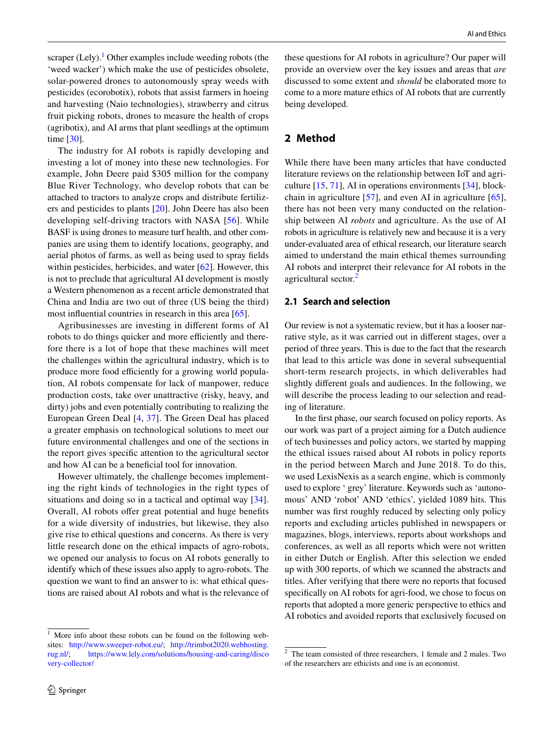scraper  $($ Lely $).<sup>1</sup>$  Other examples include weeding robots (the 'weed wacker') which make the use of pesticides obsolete, solar-powered drones to autonomously spray weeds with pesticides (ecorobotix), robots that assist farmers in hoeing and harvesting (Naio technologies), strawberry and citrus fruit picking robots, drones to measure the health of crops (agribotix), and AI arms that plant seedlings at the optimum time [[30\]](#page-13-0).

The industry for AI robots is rapidly developing and investing a lot of money into these new technologies. For example, John Deere paid \$305 million for the company Blue River Technology, who develop robots that can be attached to tractors to analyze crops and distribute fertilizers and pesticides to plants [[20](#page-12-0)]. John Deere has also been developing self-driving tractors with NASA [[56](#page-13-1)]. While BASF is using drones to measure turf health, and other companies are using them to identify locations, geography, and aerial photos of farms, as well as being used to spray felds within pesticides, herbicides, and water [\[62](#page-13-2)]. However, this is not to preclude that agricultural AI development is mostly a Western phenomenon as a recent article demonstrated that China and India are two out of three (US being the third) most infuential countries in research in this area [[65\]](#page-13-3).

Agribusinesses are investing in diferent forms of AI robots to do things quicker and more efficiently and therefore there is a lot of hope that these machines will meet the challenges within the agricultural industry, which is to produce more food efficiently for a growing world population, AI robots compensate for lack of manpower, reduce production costs, take over unattractive (risky, heavy, and dirty) jobs and even potentially contributing to realizing the European Green Deal [[4](#page-12-1), [37\]](#page-13-4). The Green Deal has placed a greater emphasis on technological solutions to meet our future environmental challenges and one of the sections in the report gives specifc attention to the agricultural sector and how AI can be a benefcial tool for innovation.

However ultimately, the challenge becomes implementing the right kinds of technologies in the right types of situations and doing so in a tactical and optimal way [[34](#page-13-5)]. Overall, AI robots offer great potential and huge benefits for a wide diversity of industries, but likewise, they also give rise to ethical questions and concerns. As there is very little research done on the ethical impacts of agro-robots, we opened our analysis to focus on AI robots generally to identify which of these issues also apply to agro-robots. The question we want to fnd an answer to is: what ethical questions are raised about AI robots and what is the relevance of these questions for AI robots in agriculture? Our paper will provide an overview over the key issues and areas that *are* discussed to some extent and *should* be elaborated more to come to a more mature ethics of AI robots that are currently being developed.

## **2 Method**

While there have been many articles that have conducted literature reviews on the relationship between IoT and agriculture [[15,](#page-12-2) [71\]](#page-13-6), AI in operations environments [[34\]](#page-13-5), blockchain in agriculture [\[57\]](#page-13-7), and even AI in agriculture [\[65](#page-13-3)], there has not been very many conducted on the relationship between AI *robots* and agriculture. As the use of AI robots in agriculture is relatively new and because it is a very under-evaluated area of ethical research, our literature search aimed to understand the main ethical themes surrounding AI robots and interpret their relevance for AI robots in the agricultural sector.<sup>[2](#page-1-1)</sup>

## **2.1 Search and selection**

Our review is not a systematic review, but it has a looser narrative style, as it was carried out in diferent stages, over a period of three years. This is due to the fact that the research that lead to this article was done in several subsequential short-term research projects, in which deliverables had slightly diferent goals and audiences. In the following, we will describe the process leading to our selection and reading of literature.

In the frst phase, our search focused on policy reports. As our work was part of a project aiming for a Dutch audience of tech businesses and policy actors, we started by mapping the ethical issues raised about AI robots in policy reports in the period between March and June 2018. To do this, we used LexisNexis as a search engine, which is commonly used to explore ' grey' literature. Keywords such as 'autonomous' AND 'robot' AND 'ethics', yielded 1089 hits. This number was frst roughly reduced by selecting only policy reports and excluding articles published in newspapers or magazines, blogs, interviews, reports about workshops and conferences, as well as all reports which were not written in either Dutch or English. After this selection we ended up with 300 reports, of which we scanned the abstracts and titles. After verifying that there were no reports that focused specifcally on AI robots for agri-food, we chose to focus on reports that adopted a more generic perspective to ethics and AI robotics and avoided reports that exclusively focused on

<span id="page-1-0"></span> $1$  More info about these robots can be found on the following websites: <http://www.sweeper-robot.eu/>; [http://trimbot2020.webhosting.](http://trimbot2020.webhosting.rug.nl/) [rug.nl/;](http://trimbot2020.webhosting.rug.nl/) [https://www.lely.com/solutions/housing-and-caring/disco](https://www.lely.com/solutions/housing-and-caring/discovery-collector/) [very-collector/](https://www.lely.com/solutions/housing-and-caring/discovery-collector/)

 $\circled{2}$  Springer

<span id="page-1-1"></span><sup>2</sup> The team consisted of three researchers, 1 female and 2 males. Two of the researchers are ethicists and one is an economist.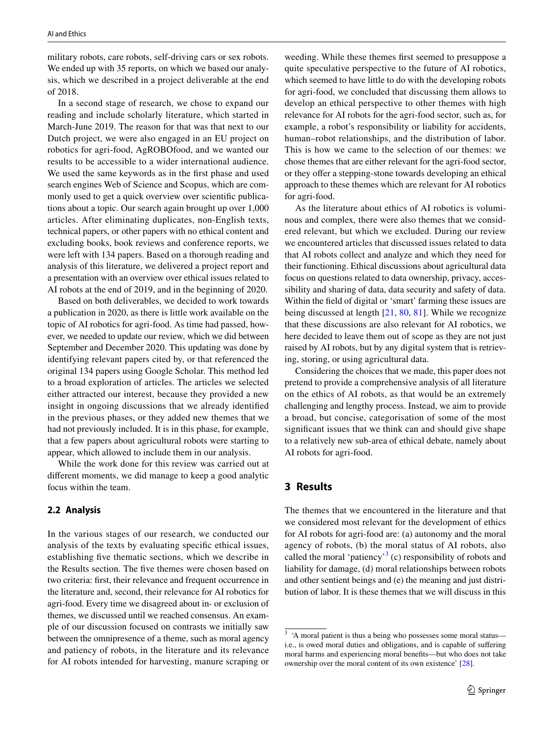military robots, care robots, self-driving cars or sex robots. We ended up with 35 reports, on which we based our analysis, which we described in a project deliverable at the end of 2018.

In a second stage of research, we chose to expand our reading and include scholarly literature, which started in March-June 2019. The reason for that was that next to our Dutch project, we were also engaged in an EU project on robotics for agri-food, AgROBOfood, and we wanted our results to be accessible to a wider international audience. We used the same keywords as in the frst phase and used search engines Web of Science and Scopus, which are commonly used to get a quick overview over scientifc publications about a topic. Our search again brought up over 1,000 articles. After eliminating duplicates, non-English texts, technical papers, or other papers with no ethical content and excluding books, book reviews and conference reports, we were left with 134 papers. Based on a thorough reading and analysis of this literature, we delivered a project report and a presentation with an overview over ethical issues related to AI robots at the end of 2019, and in the beginning of 2020.

Based on both deliverables, we decided to work towards a publication in 2020, as there is little work available on the topic of AI robotics for agri-food. As time had passed, however, we needed to update our review, which we did between September and December 2020. This updating was done by identifying relevant papers cited by, or that referenced the original 134 papers using Google Scholar. This method led to a broad exploration of articles. The articles we selected either attracted our interest, because they provided a new insight in ongoing discussions that we already identifed in the previous phases, or they added new themes that we had not previously included. It is in this phase, for example, that a few papers about agricultural robots were starting to appear, which allowed to include them in our analysis.

While the work done for this review was carried out at diferent moments, we did manage to keep a good analytic focus within the team.

## **2.2 Analysis**

In the various stages of our research, we conducted our analysis of the texts by evaluating specifc ethical issues, establishing fve thematic sections, which we describe in the Results section. The fve themes were chosen based on two criteria: frst, their relevance and frequent occurrence in the literature and, second, their relevance for AI robotics for agri-food. Every time we disagreed about in- or exclusion of themes, we discussed until we reached consensus. An example of our discussion focused on contrasts we initially saw between the omnipresence of a theme, such as moral agency and patiency of robots, in the literature and its relevance for AI robots intended for harvesting, manure scraping or

weeding. While these themes frst seemed to presuppose a quite speculative perspective to the future of AI robotics, which seemed to have little to do with the developing robots for agri-food, we concluded that discussing them allows to develop an ethical perspective to other themes with high relevance for AI robots for the agri-food sector, such as, for example, a robot's responsibility or liability for accidents, human–robot relationships, and the distribution of labor. This is how we came to the selection of our themes: we chose themes that are either relevant for the agri-food sector, or they offer a stepping-stone towards developing an ethical approach to these themes which are relevant for AI robotics for agri-food.

As the literature about ethics of AI robotics is voluminous and complex, there were also themes that we considered relevant, but which we excluded. During our review we encountered articles that discussed issues related to data that AI robots collect and analyze and which they need for their functioning. Ethical discussions about agricultural data focus on questions related to data ownership, privacy, accessibility and sharing of data, data security and safety of data. Within the feld of digital or 'smart' farming these issues are being discussed at length [\[21](#page-12-3), [80,](#page-14-0) [81\]](#page-14-1). While we recognize that these discussions are also relevant for AI robotics, we here decided to leave them out of scope as they are not just raised by AI robots, but by any digital system that is retrieving, storing, or using agricultural data.

Considering the choices that we made, this paper does not pretend to provide a comprehensive analysis of all literature on the ethics of AI robots, as that would be an extremely challenging and lengthy process. Instead, we aim to provide a broad, but concise, categorisation of some of the most signifcant issues that we think can and should give shape to a relatively new sub-area of ethical debate, namely about AI robots for agri-food.

## **3 Results**

The themes that we encountered in the literature and that we considered most relevant for the development of ethics for AI robots for agri-food are: (a) autonomy and the moral agency of robots, (b) the moral status of AI robots, also called the moral 'patiency'<sup>[3](#page-2-0)</sup> (c) responsibility of robots and liability for damage, (d) moral relationships between robots and other sentient beings and (e) the meaning and just distribution of labor. It is these themes that we will discuss in this

<span id="page-2-0"></span><sup>&</sup>lt;sup>3</sup> 'A moral patient is thus a being who possesses some moral status i.e., is owed moral duties and obligations, and is capable of sufering moral harms and experiencing moral benefts—but who does not take ownership over the moral content of its own existence' [[28](#page-12-4)].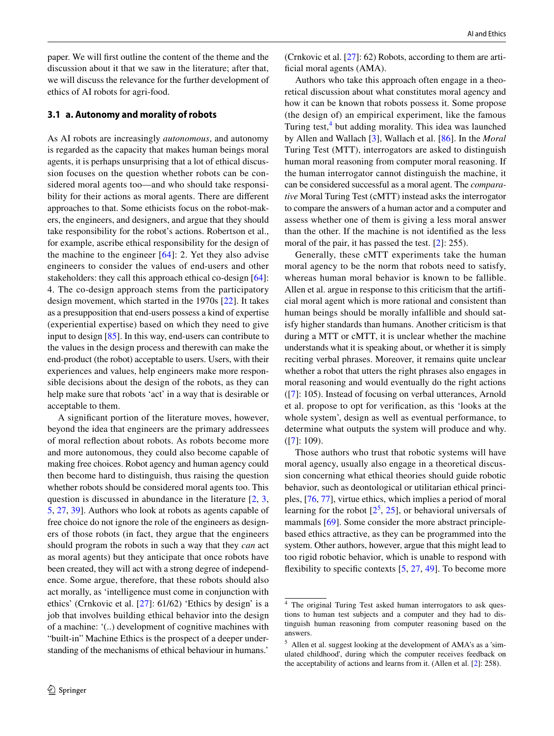paper. We will frst outline the content of the theme and the discussion about it that we saw in the literature; after that, we will discuss the relevance for the further development of ethics of AI robots for agri-food.

## **3.1 a. Autonomy and morality of robots**

As AI robots are increasingly *autonomous*, and autonomy is regarded as the capacity that makes human beings moral agents, it is perhaps unsurprising that a lot of ethical discussion focuses on the question whether robots can be considered moral agents too—and who should take responsibility for their actions as moral agents. There are diferent approaches to that. Some ethicists focus on the robot-makers, the engineers, and designers, and argue that they should take responsibility for the robot's actions. Robertson et al., for example, ascribe ethical responsibility for the design of the machine to the engineer  $[64]$  $[64]$  $[64]$ : 2. Yet they also advise engineers to consider the values of end-users and other stakeholders: they call this approach ethical co-design [[64](#page-13-8)]: 4. The co-design approach stems from the participatory design movement, which started in the 1970s [[22\]](#page-12-5). It takes as a presupposition that end-users possess a kind of expertise (experiential expertise) based on which they need to give input to design [[85\]](#page-14-2). In this way, end-users can contribute to the values in the design process and therewith can make the end-product (the robot) acceptable to users. Users, with their experiences and values, help engineers make more responsible decisions about the design of the robots, as they can help make sure that robots 'act' in a way that is desirable or acceptable to them.

A signifcant portion of the literature moves, however, beyond the idea that engineers are the primary addressees of moral refection about robots. As robots become more and more autonomous, they could also become capable of making free choices. Robot agency and human agency could then become hard to distinguish, thus raising the question whether robots should be considered moral agents too. This question is discussed in abundance in the literature [[2,](#page-12-6) [3,](#page-12-7) [5](#page-12-8), [27](#page-12-9), [39](#page-13-9)]. Authors who look at robots as agents capable of free choice do not ignore the role of the engineers as designers of those robots (in fact, they argue that the engineers should program the robots in such a way that they *can* act as moral agents) but they anticipate that once robots have been created, they will act with a strong degree of independence. Some argue, therefore, that these robots should also act morally, as 'intelligence must come in conjunction with ethics' (Crnkovic et al. [\[27](#page-12-9)]: 61/62) 'Ethics by design' is a job that involves building ethical behavior into the design of a machine: '(..) development of cognitive machines with "built-in" Machine Ethics is the prospect of a deeper understanding of the mechanisms of ethical behaviour in humans.'

(Crnkovic et al. [\[27\]](#page-12-9): 62) Robots, according to them are artificial moral agents (AMA).

Authors who take this approach often engage in a theoretical discussion about what constitutes moral agency and how it can be known that robots possess it. Some propose (the design of) an empirical experiment, like the famous Turing test,<sup>[4](#page-3-0)</sup> but adding morality. This idea was launched by Allen and Wallach [[3\]](#page-12-7), Wallach et al. [[86\]](#page-14-3). In the *Moral* Turing Test (MTT), interrogators are asked to distinguish human moral reasoning from computer moral reasoning. If the human interrogator cannot distinguish the machine, it can be considered successful as a moral agent. The *comparative* Moral Turing Test (cMTT) instead asks the interrogator to compare the answers of a human actor and a computer and assess whether one of them is giving a less moral answer than the other. If the machine is not identifed as the less moral of the pair, it has passed the test. [[2\]](#page-12-6): 255).

Generally, these cMTT experiments take the human moral agency to be the norm that robots need to satisfy, whereas human moral behavior is known to be fallible. Allen et al. argue in response to this criticism that the artifcial moral agent which is more rational and consistent than human beings should be morally infallible and should satisfy higher standards than humans. Another criticism is that during a MTT or cMTT, it is unclear whether the machine understands what it is speaking about, or whether it is simply reciting verbal phrases. Moreover, it remains quite unclear whether a robot that utters the right phrases also engages in moral reasoning and would eventually do the right actions ([[7\]](#page-12-10): 105). Instead of focusing on verbal utterances, Arnold et al. propose to opt for verifcation, as this 'looks at the whole system', design as well as eventual performance, to determine what outputs the system will produce and why.  $([7]: 109)$  $([7]: 109)$  $([7]: 109)$ .

Those authors who trust that robotic systems will have moral agency, usually also engage in a theoretical discussion concerning what ethical theories should guide robotic behavior, such as deontological or utilitarian ethical principles, [\[76](#page-14-4), [77](#page-14-5)], virtue ethics, which implies a period of moral learning for the robot  $[2^5, 25]$  $[2^5, 25]$  $[2^5, 25]$  $[2^5, 25]$  $[2^5, 25]$  $[2^5, 25]$  $[2^5, 25]$ , or behavioral universals of mammals [\[69](#page-13-10)]. Some consider the more abstract principlebased ethics attractive, as they can be programmed into the system. Other authors, however, argue that this might lead to too rigid robotic behavior, which is unable to respond with flexibility to specific contexts  $[5, 27, 49]$  $[5, 27, 49]$  $[5, 27, 49]$  $[5, 27, 49]$  $[5, 27, 49]$  $[5, 27, 49]$  $[5, 27, 49]$ . To become more

<span id="page-3-0"></span><sup>4</sup> The original Turing Test asked human interrogators to ask questions to human test subjects and a computer and they had to distinguish human reasoning from computer reasoning based on the answers.

<span id="page-3-1"></span><sup>5</sup> Allen et al. suggest looking at the development of AMA's as a 'simulated childhood', during which the computer receives feedback on the acceptability of actions and learns from it. (Allen et al. [[2\]](#page-12-6): 258).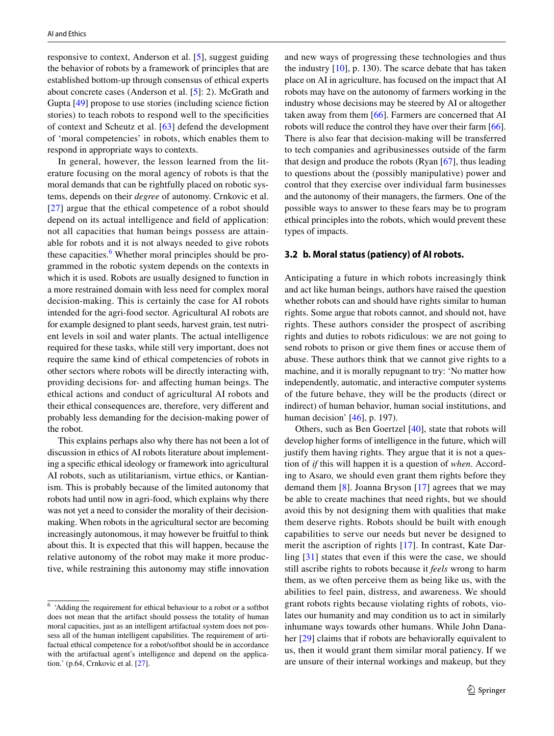responsive to context, Anderson et al. [\[5](#page-12-8)], suggest guiding the behavior of robots by a framework of principles that are established bottom-up through consensus of ethical experts about concrete cases (Anderson et al. [[5\]](#page-12-8): 2). McGrath and Gupta [[49\]](#page-13-11) propose to use stories (including science fiction stories) to teach robots to respond well to the specifcities of context and Scheutz et al. [\[63\]](#page-13-12) defend the development of 'moral competencies' in robots, which enables them to respond in appropriate ways to contexts.

In general, however, the lesson learned from the literature focusing on the moral agency of robots is that the moral demands that can be rightfully placed on robotic systems, depends on their *degree* of autonomy. Crnkovic et al. [[27\]](#page-12-9) argue that the ethical competence of a robot should depend on its actual intelligence and feld of application: not all capacities that human beings possess are attainable for robots and it is not always needed to give robots these capacities.<sup>[6](#page-4-0)</sup> Whether moral principles should be programmed in the robotic system depends on the contexts in which it is used. Robots are usually designed to function in a more restrained domain with less need for complex moral decision-making. This is certainly the case for AI robots intended for the agri-food sector. Agricultural AI robots are for example designed to plant seeds, harvest grain, test nutrient levels in soil and water plants. The actual intelligence required for these tasks, while still very important, does not require the same kind of ethical competencies of robots in other sectors where robots will be directly interacting with, providing decisions for- and afecting human beings. The ethical actions and conduct of agricultural AI robots and their ethical consequences are, therefore, very diferent and probably less demanding for the decision-making power of the robot.

This explains perhaps also why there has not been a lot of discussion in ethics of AI robots literature about implementing a specifc ethical ideology or framework into agricultural AI robots, such as utilitarianism, virtue ethics, or Kantianism. This is probably because of the limited autonomy that robots had until now in agri-food, which explains why there was not yet a need to consider the morality of their decisionmaking. When robots in the agricultural sector are becoming increasingly autonomous, it may however be fruitful to think about this. It is expected that this will happen, because the relative autonomy of the robot may make it more productive, while restraining this autonomy may stife innovation and new ways of progressing these technologies and thus the industry [[10\]](#page-12-12), p. 130). The scarce debate that has taken place on AI in agriculture, has focused on the impact that AI robots may have on the autonomy of farmers working in the industry whose decisions may be steered by AI or altogether taken away from them [\[66](#page-13-13)]. Farmers are concerned that AI robots will reduce the control they have over their farm [\[66](#page-13-13)]. There is also fear that decision-making will be transferred to tech companies and agribusinesses outside of the farm that design and produce the robots (Ryan [[67\]](#page-13-14), thus leading to questions about the (possibly manipulative) power and control that they exercise over individual farm businesses and the autonomy of their managers, the farmers. One of the possible ways to answer to these fears may be to program ethical principles into the robots, which would prevent these types of impacts.

#### **3.2 b. Moral status (patiency) of AI robots.**

Anticipating a future in which robots increasingly think and act like human beings, authors have raised the question whether robots can and should have rights similar to human rights. Some argue that robots cannot, and should not, have rights. These authors consider the prospect of ascribing rights and duties to robots ridiculous: we are not going to send robots to prison or give them fnes or accuse them of abuse. These authors think that we cannot give rights to a machine, and it is morally repugnant to try: 'No matter how independently, automatic, and interactive computer systems of the future behave, they will be the products (direct or indirect) of human behavior, human social institutions, and human decision' [[46\]](#page-13-15), p. 197).

Others, such as Ben Goertzel [\[40\]](#page-13-16), state that robots will develop higher forms of intelligence in the future, which will justify them having rights. They argue that it is not a question of *if* this will happen it is a question of *when*. According to Asaro, we should even grant them rights before they demand them [[8](#page-12-13)]. Joanna Bryson [[17](#page-12-14)] agrees that we may be able to create machines that need rights, but we should avoid this by not designing them with qualities that make them deserve rights. Robots should be built with enough capabilities to serve our needs but never be designed to merit the ascription of rights [\[17\]](#page-12-14). In contrast, Kate Darling [[31](#page-13-17)] states that even if this were the case, we should still ascribe rights to robots because it *feels* wrong to harm them, as we often perceive them as being like us, with the abilities to feel pain, distress, and awareness. We should grant robots rights because violating rights of robots, violates our humanity and may condition us to act in similarly inhumane ways towards other humans. While John Dana-her [[29](#page-12-15)] claims that if robots are behaviorally equivalent to us, then it would grant them similar moral patiency. If we are unsure of their internal workings and makeup, but they

<span id="page-4-0"></span><sup>6</sup> 'Adding the requirement for ethical behaviour to a robot or a softbot does not mean that the artifact should possess the totality of human moral capacities, just as an intelligent artifactual system does not possess all of the human intelligent capabilities. The requirement of artifactual ethical competence for a robot/softbot should be in accordance with the artifactual agent's intelligence and depend on the application.' (p.64, Crnkovic et al. [[27](#page-12-9)].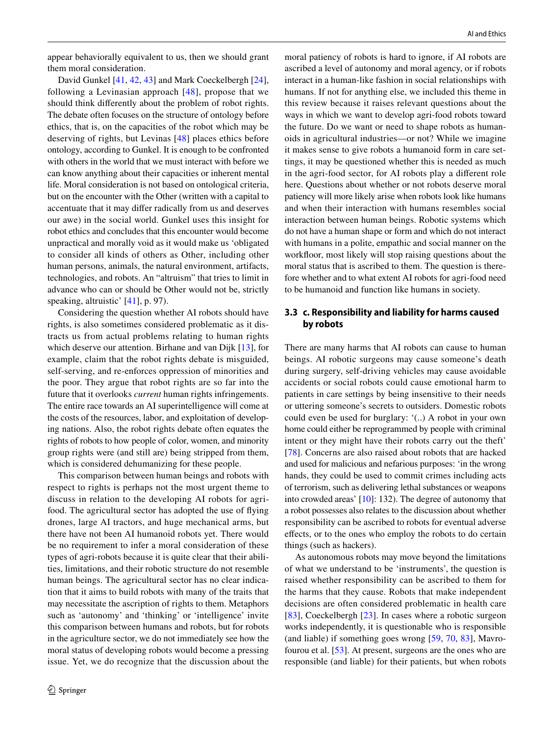appear behaviorally equivalent to us, then we should grant them moral consideration.

David Gunkel [[41,](#page-13-18) [42,](#page-13-19) [43\]](#page-13-20) and Mark Coeckelbergh [\[24](#page-12-16)], following a Levinasian approach [[48](#page-13-21)], propose that we should think diferently about the problem of robot rights. The debate often focuses on the structure of ontology before ethics, that is, on the capacities of the robot which may be deserving of rights, but Levinas [[48\]](#page-13-21) places ethics before ontology, according to Gunkel. It is enough to be confronted with others in the world that we must interact with before we can know anything about their capacities or inherent mental life. Moral consideration is not based on ontological criteria, but on the encounter with the Other (written with a capital to accentuate that it may difer radically from us and deserves our awe) in the social world. Gunkel uses this insight for robot ethics and concludes that this encounter would become unpractical and morally void as it would make us 'obligated to consider all kinds of others as Other, including other human persons, animals, the natural environment, artifacts, technologies, and robots. An "altruism" that tries to limit in advance who can or should be Other would not be, strictly speaking, altruistic' [[41\]](#page-13-18), p. 97).

Considering the question whether AI robots should have rights, is also sometimes considered problematic as it distracts us from actual problems relating to human rights which deserve our attention. Birhane and van Dijk [\[13](#page-12-17)], for example, claim that the robot rights debate is misguided, self-serving, and re-enforces oppression of minorities and the poor. They argue that robot rights are so far into the future that it overlooks *current* human rights infringements. The entire race towards an AI superintelligence will come at the costs of the resources, labor, and exploitation of developing nations. Also, the robot rights debate often equates the rights of robots to how people of color, women, and minority group rights were (and still are) being stripped from them, which is considered dehumanizing for these people.

This comparison between human beings and robots with respect to rights is perhaps not the most urgent theme to discuss in relation to the developing AI robots for agrifood. The agricultural sector has adopted the use of flying drones, large AI tractors, and huge mechanical arms, but there have not been AI humanoid robots yet. There would be no requirement to infer a moral consideration of these types of agri-robots because it is quite clear that their abilities, limitations, and their robotic structure do not resemble human beings. The agricultural sector has no clear indication that it aims to build robots with many of the traits that may necessitate the ascription of rights to them. Metaphors such as 'autonomy' and 'thinking' or 'intelligence' invite this comparison between humans and robots, but for robots in the agriculture sector, we do not immediately see how the moral status of developing robots would become a pressing issue. Yet, we do recognize that the discussion about the

moral patiency of robots is hard to ignore, if AI robots are ascribed a level of autonomy and moral agency, or if robots interact in a human-like fashion in social relationships with humans. If not for anything else, we included this theme in this review because it raises relevant questions about the ways in which we want to develop agri-food robots toward the future. Do we want or need to shape robots as humanoids in agricultural industries—or not? While we imagine it makes sense to give robots a humanoid form in care settings, it may be questioned whether this is needed as much in the agri-food sector, for AI robots play a diferent role here. Questions about whether or not robots deserve moral patiency will more likely arise when robots look like humans and when their interaction with humans resembles social interaction between human beings. Robotic systems which do not have a human shape or form and which do not interact with humans in a polite, empathic and social manner on the workfoor, most likely will stop raising questions about the moral status that is ascribed to them. The question is therefore whether and to what extent AI robots for agri-food need to be humanoid and function like humans in society.

## **3.3 c. Responsibility and liability for harms caused by robots**

There are many harms that AI robots can cause to human beings. AI robotic surgeons may cause someone's death during surgery, self-driving vehicles may cause avoidable accidents or social robots could cause emotional harm to patients in care settings by being insensitive to their needs or uttering someone's secrets to outsiders. Domestic robots could even be used for burglary: '(..) A robot in your own home could either be reprogrammed by people with criminal intent or they might have their robots carry out the theft' [[78\]](#page-14-6). Concerns are also raised about robots that are hacked and used for malicious and nefarious purposes: 'in the wrong hands, they could be used to commit crimes including acts of terrorism, such as delivering lethal substances or weapons into crowded areas' [\[10\]](#page-12-12): 132). The degree of autonomy that a robot possesses also relates to the discussion about whether responsibility can be ascribed to robots for eventual adverse efects, or to the ones who employ the robots to do certain things (such as hackers).

As autonomous robots may move beyond the limitations of what we understand to be 'instruments', the question is raised whether responsibility can be ascribed to them for the harms that they cause. Robots that make independent decisions are often considered problematic in health care [[83\]](#page-14-7), Coeckelbergh [[23](#page-12-18)]. In cases where a robotic surgeon works independently, it is questionable who is responsible (and liable) if something goes wrong [[59](#page-13-22), [70,](#page-13-23) [83](#page-14-7)], Mavrofourou et al. [[53](#page-13-24)]. At present, surgeons are the ones who are responsible (and liable) for their patients, but when robots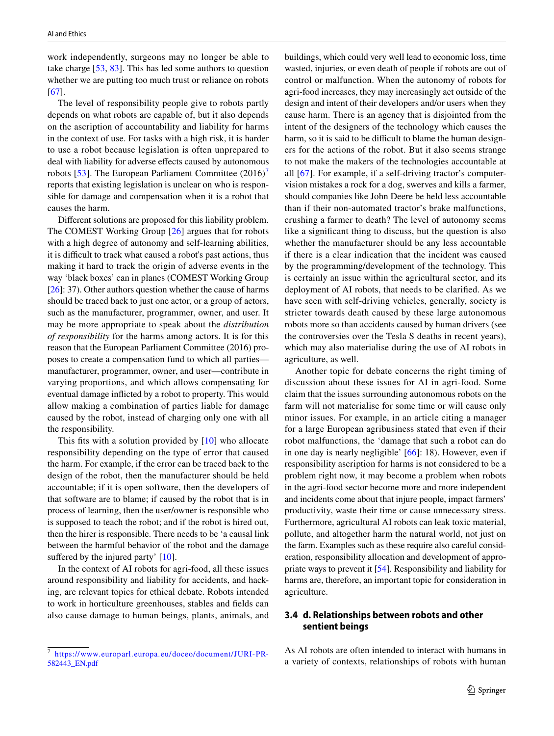work independently, surgeons may no longer be able to take charge [[53,](#page-13-24) [83](#page-14-7)]. This has led some authors to question whether we are putting too much trust or reliance on robots [\[67\]](#page-13-14).

The level of responsibility people give to robots partly depends on what robots are capable of, but it also depends on the ascription of accountability and liability for harms in the context of use. For tasks with a high risk, it is harder to use a robot because legislation is often unprepared to deal with liability for adverse effects caused by autonomous robots [[53](#page-13-24)]. The European Parliament Committee  $(2016)'$ reports that existing legislation is unclear on who is responsible for damage and compensation when it is a robot that causes the harm.

Diferent solutions are proposed for this liability problem. The COMEST Working Group [[26\]](#page-12-19) argues that for robots with a high degree of autonomy and self-learning abilities, it is difficult to track what caused a robot's past actions, thus making it hard to track the origin of adverse events in the way 'black boxes' can in planes (COMEST Working Group [\[26](#page-12-19)]: 37). Other authors question whether the cause of harms should be traced back to just one actor, or a group of actors, such as the manufacturer, programmer, owner, and user. It may be more appropriate to speak about the *distribution of responsibility* for the harms among actors. It is for this reason that the European Parliament Committee (2016) proposes to create a compensation fund to which all parties manufacturer, programmer, owner, and user—contribute in varying proportions, and which allows compensating for eventual damage inficted by a robot to property. This would allow making a combination of parties liable for damage caused by the robot, instead of charging only one with all the responsibility.

This fits with a solution provided by [[10](#page-12-12)] who allocate responsibility depending on the type of error that caused the harm. For example, if the error can be traced back to the design of the robot, then the manufacturer should be held accountable; if it is open software, then the developers of that software are to blame; if caused by the robot that is in process of learning, then the user/owner is responsible who is supposed to teach the robot; and if the robot is hired out, then the hirer is responsible. There needs to be 'a causal link between the harmful behavior of the robot and the damage suffered by the injured party' [\[10\]](#page-12-12).

In the context of AI robots for agri-food, all these issues around responsibility and liability for accidents, and hacking, are relevant topics for ethical debate. Robots intended to work in horticulture greenhouses, stables and felds can also cause damage to human beings, plants, animals, and buildings, which could very well lead to economic loss, time wasted, injuries, or even death of people if robots are out of control or malfunction. When the autonomy of robots for agri-food increases, they may increasingly act outside of the design and intent of their developers and/or users when they cause harm. There is an agency that is disjointed from the intent of the designers of the technology which causes the harm, so it is said to be difficult to blame the human designers for the actions of the robot. But it also seems strange to not make the makers of the technologies accountable at all [[67\]](#page-13-14). For example, if a self-driving tractor's computervision mistakes a rock for a dog, swerves and kills a farmer, should companies like John Deere be held less accountable than if their non-automated tractor's brake malfunctions, crushing a farmer to death? The level of autonomy seems like a signifcant thing to discuss, but the question is also whether the manufacturer should be any less accountable if there is a clear indication that the incident was caused by the programming/development of the technology. This is certainly an issue within the agricultural sector, and its deployment of AI robots, that needs to be clarifed. As we have seen with self-driving vehicles, generally, society is stricter towards death caused by these large autonomous robots more so than accidents caused by human drivers (see the controversies over the Tesla S deaths in recent years), which may also materialise during the use of AI robots in agriculture, as well.

Another topic for debate concerns the right timing of discussion about these issues for AI in agri-food. Some claim that the issues surrounding autonomous robots on the farm will not materialise for some time or will cause only minor issues. For example, in an article citing a manager for a large European agribusiness stated that even if their robot malfunctions, the 'damage that such a robot can do in one day is nearly negligible' [[66\]](#page-13-13): 18). However, even if responsibility ascription for harms is not considered to be a problem right now, it may become a problem when robots in the agri-food sector become more and more independent and incidents come about that injure people, impact farmers' productivity, waste their time or cause unnecessary stress. Furthermore, agricultural AI robots can leak toxic material, pollute, and altogether harm the natural world, not just on the farm. Examples such as these require also careful consideration, responsibility allocation and development of appropriate ways to prevent it [[54\]](#page-13-25). Responsibility and liability for harms are, therefore, an important topic for consideration in agriculture.

## **3.4 d. Relationships between robots and other sentient beings**

As AI robots are often intended to interact with humans in a variety of contexts, relationships of robots with human

<span id="page-6-0"></span>[https://www.europarl.europa.eu/doceo/document/JURI-PR-](https://www.europarl.europa.eu/doceo/document/JURI-PR-582443_EN.pdf)[582443\\_EN.pdf](https://www.europarl.europa.eu/doceo/document/JURI-PR-582443_EN.pdf)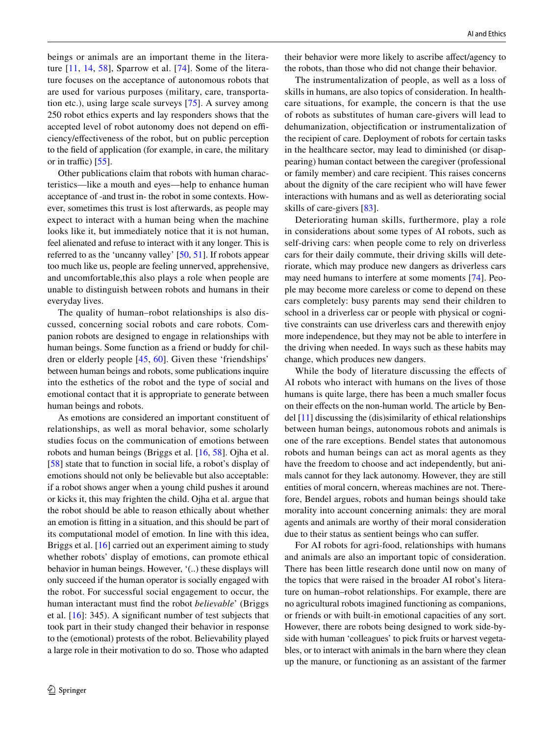beings or animals are an important theme in the literature [[11](#page-12-20), [14](#page-12-21), [58](#page-13-26)], Sparrow et al. [[74](#page-14-8)]. Some of the literature focuses on the acceptance of autonomous robots that are used for various purposes (military, care, transportation etc.), using large scale surveys [\[75](#page-14-9)]. A survey among 250 robot ethics experts and lay responders shows that the accepted level of robot autonomy does not depend on efficiency/efectiveness of the robot, but on public perception to the feld of application (for example, in care, the military or in traffic)  $[55]$  $[55]$  $[55]$ .

Other publications claim that robots with human characteristics—like a mouth and eyes—help to enhance human acceptance of -and trust in- the robot in some contexts. However, sometimes this trust is lost afterwards, as people may expect to interact with a human being when the machine looks like it, but immediately notice that it is not human, feel alienated and refuse to interact with it any longer. This is referred to as the 'uncanny valley' [\[50](#page-13-28), [51\]](#page-13-29). If robots appear too much like us, people are feeling unnerved, apprehensive, and uncomfortable,this also plays a role when people are unable to distinguish between robots and humans in their everyday lives.

The quality of human–robot relationships is also discussed, concerning social robots and care robots. Companion robots are designed to engage in relationships with human beings. Some function as a friend or buddy for children or elderly people [\[45](#page-13-30), [60](#page-13-31)]. Given these 'friendships' between human beings and robots, some publications inquire into the esthetics of the robot and the type of social and emotional contact that it is appropriate to generate between human beings and robots.

As emotions are considered an important constituent of relationships, as well as moral behavior, some scholarly studies focus on the communication of emotions between robots and human beings (Briggs et al. [[16,](#page-12-22) [58\]](#page-13-26). Ojha et al. [\[58\]](#page-13-26) state that to function in social life, a robot's display of emotions should not only be believable but also acceptable: if a robot shows anger when a young child pushes it around or kicks it, this may frighten the child. Ojha et al. argue that the robot should be able to reason ethically about whether an emotion is ftting in a situation, and this should be part of its computational model of emotion. In line with this idea, Briggs et al. [[16\]](#page-12-22) carried out an experiment aiming to study whether robots' display of emotions, can promote ethical behavior in human beings. However, '(..) these displays will only succeed if the human operator is socially engaged with the robot. For successful social engagement to occur, the human interactant must fnd the robot *believable*' (Briggs et al. [\[16](#page-12-22)]: 345). A signifcant number of test subjects that took part in their study changed their behavior in response to the (emotional) protests of the robot. Believability played a large role in their motivation to do so. Those who adapted

their behavior were more likely to ascribe afect/agency to the robots, than those who did not change their behavior.

The instrumentalization of people, as well as a loss of skills in humans, are also topics of consideration. In healthcare situations, for example, the concern is that the use of robots as substitutes of human care-givers will lead to dehumanization, objectifcation or instrumentalization of the recipient of care. Deployment of robots for certain tasks in the healthcare sector, may lead to diminished (or disappearing) human contact between the caregiver (professional or family member) and care recipient. This raises concerns about the dignity of the care recipient who will have fewer interactions with humans and as well as deteriorating social skills of care-givers [\[83](#page-14-7)].

Deteriorating human skills, furthermore, play a role in considerations about some types of AI robots, such as self-driving cars: when people come to rely on driverless cars for their daily commute, their driving skills will deteriorate, which may produce new dangers as driverless cars may need humans to interfere at some moments [\[74](#page-14-8)]. People may become more careless or come to depend on these cars completely: busy parents may send their children to school in a driverless car or people with physical or cognitive constraints can use driverless cars and therewith enjoy more independence, but they may not be able to interfere in the driving when needed. In ways such as these habits may change, which produces new dangers.

While the body of literature discussing the efects of AI robots who interact with humans on the lives of those humans is quite large, there has been a much smaller focus on their efects on the non-human world. The article by Bendel [[11\]](#page-12-20) discussing the (dis)similarity of ethical relationships between human beings, autonomous robots and animals is one of the rare exceptions. Bendel states that autonomous robots and human beings can act as moral agents as they have the freedom to choose and act independently, but animals cannot for they lack autonomy. However, they are still entities of moral concern, whereas machines are not. Therefore, Bendel argues, robots and human beings should take morality into account concerning animals: they are moral agents and animals are worthy of their moral consideration due to their status as sentient beings who can sufer.

For AI robots for agri-food, relationships with humans and animals are also an important topic of consideration. There has been little research done until now on many of the topics that were raised in the broader AI robot's literature on human–robot relationships. For example, there are no agricultural robots imagined functioning as companions, or friends or with built-in emotional capacities of any sort. However, there are robots being designed to work side-byside with human 'colleagues' to pick fruits or harvest vegetables, or to interact with animals in the barn where they clean up the manure, or functioning as an assistant of the farmer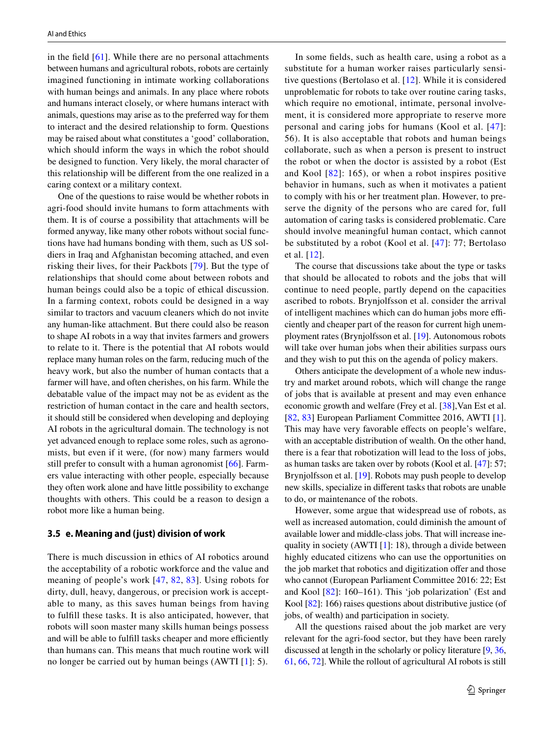in the field  $[61]$ . While there are no personal attachments between humans and agricultural robots, robots are certainly imagined functioning in intimate working collaborations with human beings and animals. In any place where robots and humans interact closely, or where humans interact with animals, questions may arise as to the preferred way for them to interact and the desired relationship to form. Questions may be raised about what constitutes a 'good' collaboration, which should inform the ways in which the robot should be designed to function. Very likely, the moral character of this relationship will be diferent from the one realized in a caring context or a military context.

One of the questions to raise would be whether robots in agri-food should invite humans to form attachments with them. It is of course a possibility that attachments will be formed anyway, like many other robots without social functions have had humans bonding with them, such as US soldiers in Iraq and Afghanistan becoming attached, and even risking their lives, for their Packbots [[79](#page-14-10)]. But the type of relationships that should come about between robots and human beings could also be a topic of ethical discussion. In a farming context, robots could be designed in a way similar to tractors and vacuum cleaners which do not invite any human-like attachment. But there could also be reason to shape AI robots in a way that invites farmers and growers to relate to it. There is the potential that AI robots would replace many human roles on the farm, reducing much of the heavy work, but also the number of human contacts that a farmer will have, and often cherishes, on his farm. While the debatable value of the impact may not be as evident as the restriction of human contact in the care and health sectors, it should still be considered when developing and deploying AI robots in the agricultural domain. The technology is not yet advanced enough to replace some roles, such as agronomists, but even if it were, (for now) many farmers would still prefer to consult with a human agronomist [[66\]](#page-13-13). Farmers value interacting with other people, especially because they often work alone and have little possibility to exchange thoughts with others. This could be a reason to design a robot more like a human being.

#### **3.5 e. Meaning and (just) division of work**

There is much discussion in ethics of AI robotics around the acceptability of a robotic workforce and the value and meaning of people's work [[47](#page-13-33), [82](#page-14-11), [83\]](#page-14-7). Using robots for dirty, dull, heavy, dangerous, or precision work is acceptable to many, as this saves human beings from having to fulfll these tasks. It is also anticipated, however, that robots will soon master many skills human beings possess and will be able to fulfill tasks cheaper and more efficiently than humans can. This means that much routine work will no longer be carried out by human beings (AWTI [[1\]](#page-12-23): 5).

In some felds, such as health care, using a robot as a substitute for a human worker raises particularly sensitive questions (Bertolaso et al. [\[12](#page-12-24)]. While it is considered unproblematic for robots to take over routine caring tasks, which require no emotional, intimate, personal involvement, it is considered more appropriate to reserve more personal and caring jobs for humans (Kool et al. [[47\]](#page-13-33): 56). It is also acceptable that robots and human beings collaborate, such as when a person is present to instruct the robot or when the doctor is assisted by a robot (Est and Kool [[82\]](#page-14-11): 165), or when a robot inspires positive behavior in humans, such as when it motivates a patient to comply with his or her treatment plan. However, to preserve the dignity of the persons who are cared for, full automation of caring tasks is considered problematic. Care should involve meaningful human contact, which cannot be substituted by a robot (Kool et al. [[47](#page-13-33)]: 77; Bertolaso et al. [[12\]](#page-12-24).

The course that discussions take about the type or tasks that should be allocated to robots and the jobs that will continue to need people, partly depend on the capacities ascribed to robots. Brynjolfsson et al. consider the arrival of intelligent machines which can do human jobs more efficiently and cheaper part of the reason for current high unemployment rates (Brynjolfsson et al. [[19\]](#page-12-25). Autonomous robots will take over human jobs when their abilities surpass ours and they wish to put this on the agenda of policy makers.

Others anticipate the development of a whole new industry and market around robots, which will change the range of jobs that is available at present and may even enhance economic growth and welfare (Frey et al. [[38\]](#page-13-34),Van Est et al. [[82,](#page-14-11) [83\]](#page-14-7) European Parliament Committee 2016, AWTI [\[1](#page-12-23)]. This may have very favorable effects on people's welfare, with an acceptable distribution of wealth. On the other hand, there is a fear that robotization will lead to the loss of jobs, as human tasks are taken over by robots (Kool et al. [\[47](#page-13-33)]: 57; Brynjolfsson et al. [[19](#page-12-25)]. Robots may push people to develop new skills, specialize in diferent tasks that robots are unable to do, or maintenance of the robots.

However, some argue that widespread use of robots, as well as increased automation, could diminish the amount of available lower and middle-class jobs. That will increase inequality in society (AWTI  $[1]$  $[1]$ : 18), through a divide between highly educated citizens who can use the opportunities on the job market that robotics and digitization offer and those who cannot (European Parliament Committee 2016: 22; Est and Kool [\[82\]](#page-14-11): 160–161). This 'job polarization' (Est and Kool [\[82](#page-14-11)]: 166) raises questions about distributive justice (of jobs, of wealth) and participation in society.

All the questions raised about the job market are very relevant for the agri-food sector, but they have been rarely discussed at length in the scholarly or policy literature [\[9](#page-12-26), [36,](#page-13-35) [61](#page-13-32), [66,](#page-13-13) [72](#page-13-36)]. While the rollout of agricultural AI robots is still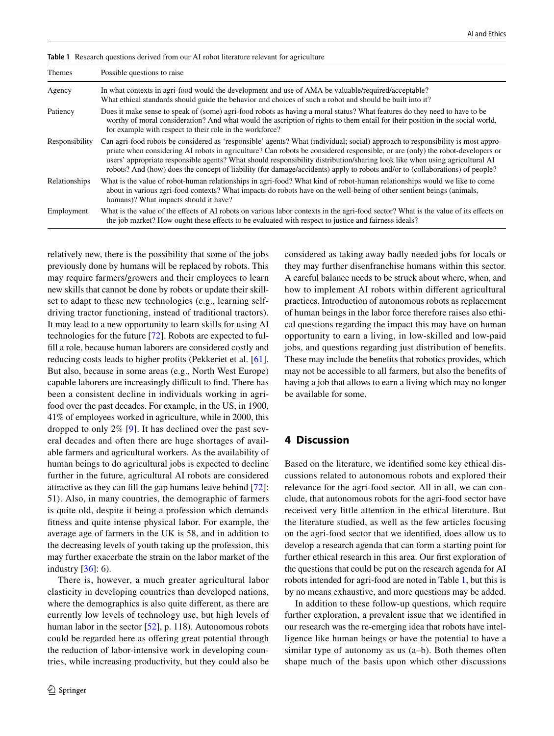| Themes         | Possible questions to raise                                                                                                                                                                                                                                                                                                                                                                                                                                                                                                     |
|----------------|---------------------------------------------------------------------------------------------------------------------------------------------------------------------------------------------------------------------------------------------------------------------------------------------------------------------------------------------------------------------------------------------------------------------------------------------------------------------------------------------------------------------------------|
| Agency         | In what contexts in agri-food would the development and use of AMA be valuable/required/acceptable?<br>What ethical standards should guide the behavior and choices of such a robot and should be built into it?                                                                                                                                                                                                                                                                                                                |
| Patiency       | Does it make sense to speak of (some) agri-food robots as having a moral status? What features do they need to have to be<br>worthy of moral consideration? And what would the ascription of rights to them entail for their position in the social world,<br>for example with respect to their role in the workforce?                                                                                                                                                                                                          |
| Responsibility | Can agri-food robots be considered as 'responsible' agents? What (individual; social) approach to responsibility is most appro-<br>priate when considering AI robots in agriculture? Can robots be considered responsible, or are (only) the robot-developers or<br>users' appropriate responsible agents? What should responsibility distribution/sharing look like when using agricultural AI<br>robots? And (how) does the concept of liability (for damage/accidents) apply to robots and/or to (collaborations) of people? |
| Relationships  | What is the value of robot-human relationships in agri-food? What kind of robot-human relationships would we like to come<br>about in various agri-food contexts? What impacts do robots have on the well-being of other sentient beings (animals,<br>humans)? What impacts should it have?                                                                                                                                                                                                                                     |
| Employment     | What is the value of the effects of AI robots on various labor contexts in the agri-food sector? What is the value of its effects on<br>the job market? How ought these effects to be evaluated with respect to justice and fairness ideals?                                                                                                                                                                                                                                                                                    |

<span id="page-9-0"></span>**Table 1** Research questions derived from our AI robot literature relevant for agriculture

relatively new, there is the possibility that some of the jobs previously done by humans will be replaced by robots. This may require farmers/growers and their employees to learn new skills that cannot be done by robots or update their skillset to adapt to these new technologies (e.g., learning selfdriving tractor functioning, instead of traditional tractors). It may lead to a new opportunity to learn skills for using AI technologies for the future [[72\]](#page-13-36). Robots are expected to fulfll a role, because human laborers are considered costly and reducing costs leads to higher profts (Pekkeriet et al. [\[61](#page-13-32)]. But also, because in some areas (e.g., North West Europe) capable laborers are increasingly difficult to find. There has been a consistent decline in individuals working in agrifood over the past decades. For example, in the US, in 1900, 41% of employees worked in agriculture, while in 2000, this dropped to only 2% [[9\]](#page-12-26). It has declined over the past several decades and often there are huge shortages of available farmers and agricultural workers. As the availability of human beings to do agricultural jobs is expected to decline further in the future, agricultural AI robots are considered attractive as they can fll the gap humans leave behind [[72\]](#page-13-36): 51). Also, in many countries, the demographic of farmers is quite old, despite it being a profession which demands ftness and quite intense physical labor. For example, the average age of farmers in the UK is 58, and in addition to the decreasing levels of youth taking up the profession, this may further exacerbate the strain on the labor market of the industry  $[36]$  $[36]$ : 6).

There is, however, a much greater agricultural labor elasticity in developing countries than developed nations, where the demographics is also quite diferent, as there are currently low levels of technology use, but high levels of human labor in the sector [\[52](#page-13-37)], p. 118). Autonomous robots could be regarded here as offering great potential through the reduction of labor-intensive work in developing countries, while increasing productivity, but they could also be

considered as taking away badly needed jobs for locals or they may further disenfranchise humans within this sector. A careful balance needs to be struck about where, when, and how to implement AI robots within diferent agricultural practices. Introduction of autonomous robots as replacement of human beings in the labor force therefore raises also ethical questions regarding the impact this may have on human opportunity to earn a living, in low-skilled and low-paid jobs, and questions regarding just distribution of benefts. These may include the benefts that robotics provides, which may not be accessible to all farmers, but also the benefts of having a job that allows to earn a living which may no longer be available for some.

## **4 Discussion**

Based on the literature, we identifed some key ethical discussions related to autonomous robots and explored their relevance for the agri-food sector. All in all, we can conclude, that autonomous robots for the agri-food sector have received very little attention in the ethical literature. But the literature studied, as well as the few articles focusing on the agri-food sector that we identifed, does allow us to develop a research agenda that can form a starting point for further ethical research in this area. Our frst exploration of the questions that could be put on the research agenda for AI robots intended for agri-food are noted in Table [1](#page-9-0), but this is by no means exhaustive, and more questions may be added.

In addition to these follow-up questions, which require further exploration, a prevalent issue that we identifed in our research was the re-emerging idea that robots have intelligence like human beings or have the potential to have a similar type of autonomy as us (a–b). Both themes often shape much of the basis upon which other discussions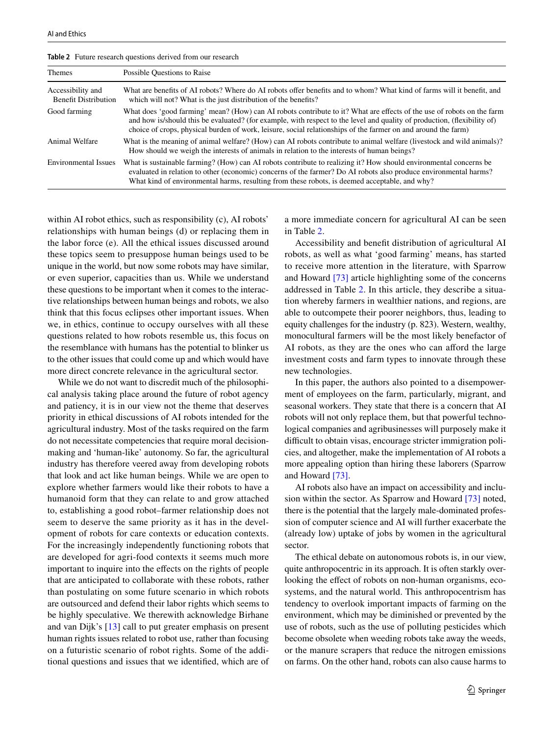| <b>Themes</b>                                    | Possible Questions to Raise                                                                                                                                                                                                                                                                                                                                         |
|--------------------------------------------------|---------------------------------------------------------------------------------------------------------------------------------------------------------------------------------------------------------------------------------------------------------------------------------------------------------------------------------------------------------------------|
| Accessibility and<br><b>Benefit Distribution</b> | What are benefits of AI robots? Where do AI robots offer benefits and to whom? What kind of farms will it benefit, and<br>which will not? What is the just distribution of the benefits?                                                                                                                                                                            |
| Good farming                                     | What does 'good farming' mean? (How) can AI robots contribute to it? What are effects of the use of robots on the farm<br>and how is/should this be evaluated? (for example, with respect to the level and quality of production, (flexibility of)<br>choice of crops, physical burden of work, leisure, social relationships of the farmer on and around the farm) |
| Animal Welfare                                   | What is the meaning of animal welfare? (How) can AI robots contribute to animal welfare (livestock and wild animals)?<br>How should we weigh the interests of animals in relation to the interests of human beings?                                                                                                                                                 |
| Environmental Issues                             | What is sustainable farming? (How) can AI robots contribute to realizing it? How should environmental concerns be<br>evaluated in relation to other (economic) concerns of the farmer? Do AI robots also produce environmental harms?<br>What kind of environmental harms, resulting from these robots, is deemed acceptable, and why?                              |

<span id="page-10-0"></span>**Table 2** Future research questions derived from our research

within AI robot ethics, such as responsibility (c), AI robots' relationships with human beings (d) or replacing them in the labor force (e). All the ethical issues discussed around these topics seem to presuppose human beings used to be unique in the world, but now some robots may have similar, or even superior, capacities than us. While we understand these questions to be important when it comes to the interactive relationships between human beings and robots, we also think that this focus eclipses other important issues. When we, in ethics, continue to occupy ourselves with all these questions related to how robots resemble us, this focus on the resemblance with humans has the potential to blinker us to the other issues that could come up and which would have more direct concrete relevance in the agricultural sector.

While we do not want to discredit much of the philosophical analysis taking place around the future of robot agency and patiency, it is in our view not the theme that deserves priority in ethical discussions of AI robots intended for the agricultural industry. Most of the tasks required on the farm do not necessitate competencies that require moral decisionmaking and 'human-like' autonomy. So far, the agricultural industry has therefore veered away from developing robots that look and act like human beings. While we are open to explore whether farmers would like their robots to have a humanoid form that they can relate to and grow attached to, establishing a good robot–farmer relationship does not seem to deserve the same priority as it has in the development of robots for care contexts or education contexts. For the increasingly independently functioning robots that are developed for agri-food contexts it seems much more important to inquire into the efects on the rights of people that are anticipated to collaborate with these robots, rather than postulating on some future scenario in which robots are outsourced and defend their labor rights which seems to be highly speculative. We therewith acknowledge Birhane and van Dijk's [[13](#page-12-17)] call to put greater emphasis on present human rights issues related to robot use, rather than focusing on a futuristic scenario of robot rights. Some of the additional questions and issues that we identifed, which are of a more immediate concern for agricultural AI can be seen in Table [2.](#page-10-0)

Accessibility and beneft distribution of agricultural AI robots, as well as what 'good farming' means, has started to receive more attention in the literature, with Sparrow and Howard [\[73\]](#page-13-38) article highlighting some of the concerns addressed in Table [2.](#page-10-0) In this article, they describe a situation whereby farmers in wealthier nations, and regions, are able to outcompete their poorer neighbors, thus, leading to equity challenges for the industry (p. 823). Western, wealthy, monocultural farmers will be the most likely benefactor of AI robots, as they are the ones who can aford the large investment costs and farm types to innovate through these new technologies.

In this paper, the authors also pointed to a disempowerment of employees on the farm, particularly, migrant, and seasonal workers. They state that there is a concern that AI robots will not only replace them, but that powerful technological companies and agribusinesses will purposely make it difficult to obtain visas, encourage stricter immigration policies, and altogether, make the implementation of AI robots a more appealing option than hiring these laborers (Sparrow and Howard [\[73\]](#page-13-38).

AI robots also have an impact on accessibility and inclusion within the sector. As Sparrow and Howard [\[73\]](#page-13-38) noted, there is the potential that the largely male-dominated profession of computer science and AI will further exacerbate the (already low) uptake of jobs by women in the agricultural sector.

The ethical debate on autonomous robots is, in our view, quite anthropocentric in its approach. It is often starkly overlooking the effect of robots on non-human organisms, ecosystems, and the natural world. This anthropocentrism has tendency to overlook important impacts of farming on the environment, which may be diminished or prevented by the use of robots, such as the use of polluting pesticides which become obsolete when weeding robots take away the weeds, or the manure scrapers that reduce the nitrogen emissions on farms. On the other hand, robots can also cause harms to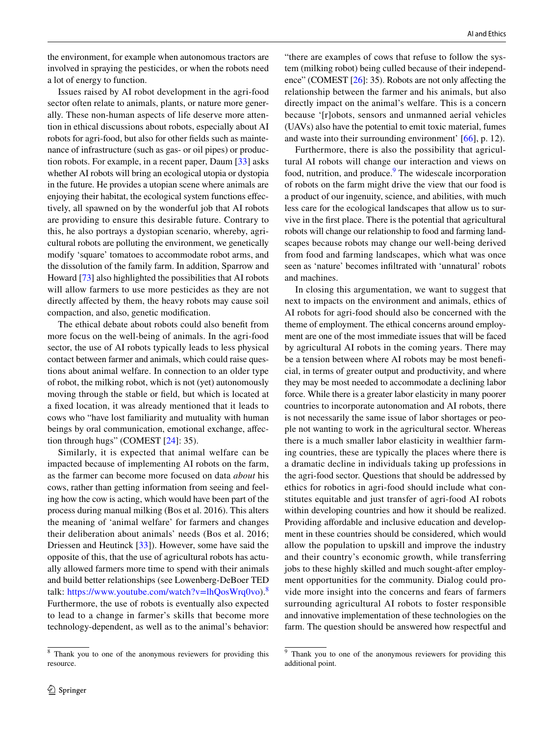the environment, for example when autonomous tractors are involved in spraying the pesticides, or when the robots need a lot of energy to function.

Issues raised by AI robot development in the agri-food sector often relate to animals, plants, or nature more generally. These non-human aspects of life deserve more attention in ethical discussions about robots, especially about AI robots for agri-food, but also for other felds such as maintenance of infrastructure (such as gas- or oil pipes) or production robots. For example, in a recent paper, Daum [[33](#page-13-39)] asks whether AI robots will bring an ecological utopia or dystopia in the future. He provides a utopian scene where animals are enjoying their habitat, the ecological system functions efectively, all spawned on by the wonderful job that AI robots are providing to ensure this desirable future. Contrary to this, he also portrays a dystopian scenario, whereby, agricultural robots are polluting the environment, we genetically modify 'square' tomatoes to accommodate robot arms, and the dissolution of the family farm. In addition, Sparrow and Howard [\[73](#page-13-38)] also highlighted the possibilities that AI robots will allow farmers to use more pesticides as they are not directly afected by them, the heavy robots may cause soil compaction, and also, genetic modifcation.

The ethical debate about robots could also beneft from more focus on the well-being of animals. In the agri-food sector, the use of AI robots typically leads to less physical contact between farmer and animals, which could raise questions about animal welfare. In connection to an older type of robot, the milking robot, which is not (yet) autonomously moving through the stable or feld, but which is located at a fxed location, it was already mentioned that it leads to cows who "have lost familiarity and mutuality with human beings by oral communication, emotional exchange, affection through hugs" (COMEST [[24](#page-12-16)]: 35).

Similarly, it is expected that animal welfare can be impacted because of implementing AI robots on the farm, as the farmer can become more focused on data *about* his cows, rather than getting information from seeing and feeling how the cow is acting, which would have been part of the process during manual milking (Bos et al. 2016). This alters the meaning of 'animal welfare' for farmers and changes their deliberation about animals' needs (Bos et al. 2016; Driessen and Heutinck [\[33\]](#page-13-39)). However, some have said the opposite of this, that the use of agricultural robots has actually allowed farmers more time to spend with their animals and build better relationships (see Lowenberg-DeBoer TED talk: [https://www.youtube.com/watch?v=lhQosWrq0vo\)](https://www.youtube.com/watch?v=lhQosWrq0vo).<sup>[8](#page-11-0)</sup> Furthermore, the use of robots is eventually also expected to lead to a change in farmer's skills that become more technology-dependent, as well as to the animal's behavior:

"there are examples of cows that refuse to follow the system (milking robot) being culled because of their independ-ence" (COMEST [[26\]](#page-12-19): 35). Robots are not only affecting the relationship between the farmer and his animals, but also directly impact on the animal's welfare. This is a concern because '[r]obots, sensors and unmanned aerial vehicles (UAVs) also have the potential to emit toxic material, fumes and waste into their surrounding environment' [[66\]](#page-13-13), p. 12).

Furthermore, there is also the possibility that agricultural AI robots will change our interaction and views on food, nutrition, and produce.<sup>[9](#page-11-1)</sup> The widescale incorporation of robots on the farm might drive the view that our food is a product of our ingenuity, science, and abilities, with much less care for the ecological landscapes that allow us to survive in the frst place. There is the potential that agricultural robots will change our relationship to food and farming landscapes because robots may change our well-being derived from food and farming landscapes, which what was once seen as 'nature' becomes infltrated with 'unnatural' robots and machines.

In closing this argumentation, we want to suggest that next to impacts on the environment and animals, ethics of AI robots for agri-food should also be concerned with the theme of employment. The ethical concerns around employment are one of the most immediate issues that will be faced by agricultural AI robots in the coming years. There may be a tension between where AI robots may be most benefcial, in terms of greater output and productivity, and where they may be most needed to accommodate a declining labor force. While there is a greater labor elasticity in many poorer countries to incorporate autonomation and AI robots, there is not necessarily the same issue of labor shortages or people not wanting to work in the agricultural sector. Whereas there is a much smaller labor elasticity in wealthier farming countries, these are typically the places where there is a dramatic decline in individuals taking up professions in the agri-food sector. Questions that should be addressed by ethics for robotics in agri-food should include what constitutes equitable and just transfer of agri-food AI robots within developing countries and how it should be realized. Providing affordable and inclusive education and development in these countries should be considered, which would allow the population to upskill and improve the industry and their country's economic growth, while transferring jobs to these highly skilled and much sought-after employment opportunities for the community. Dialog could provide more insight into the concerns and fears of farmers surrounding agricultural AI robots to foster responsible and innovative implementation of these technologies on the farm. The question should be answered how respectful and

<span id="page-11-0"></span><sup>8</sup> Thank you to one of the anonymous reviewers for providing this resource.

<span id="page-11-1"></span><sup>&</sup>lt;sup>9</sup> Thank you to one of the anonymous reviewers for providing this additional point.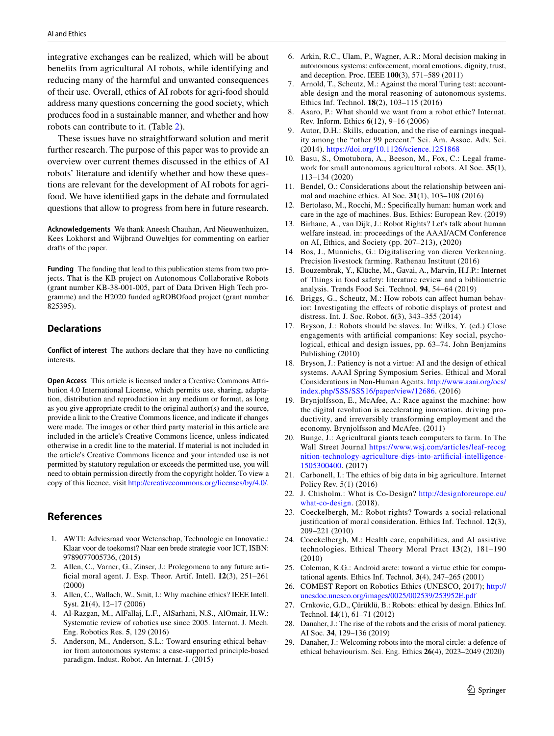integrative exchanges can be realized, which will be about benefts from agricultural AI robots, while identifying and reducing many of the harmful and unwanted consequences of their use. Overall, ethics of AI robots for agri-food should address many questions concerning the good society, which produces food in a sustainable manner, and whether and how robots can contribute to it. (Table [2](#page-10-0)).

These issues have no straightforward solution and merit further research. The purpose of this paper was to provide an overview over current themes discussed in the ethics of AI robots' literature and identify whether and how these questions are relevant for the development of AI robots for agrifood. We have identifed gaps in the debate and formulated questions that allow to progress from here in future research.

**Acknowledgements** We thank Aneesh Chauhan, Ard Nieuwenhuizen, Kees Lokhorst and Wijbrand Ouweltjes for commenting on earlier drafts of the paper.

**Funding** The funding that lead to this publication stems from two projects. That is the KB project on Autonomous Collaborative Robots (grant number KB-38-001-005, part of Data Driven High Tech programme) and the H2020 funded agROBOfood project (grant number 825395).

## **Declarations**

**Conflict of interest** The authors declare that they have no conficting interests.

**Open Access** This article is licensed under a Creative Commons Attribution 4.0 International License, which permits use, sharing, adaptation, distribution and reproduction in any medium or format, as long as you give appropriate credit to the original author(s) and the source, provide a link to the Creative Commons licence, and indicate if changes were made. The images or other third party material in this article are included in the article's Creative Commons licence, unless indicated otherwise in a credit line to the material. If material is not included in the article's Creative Commons licence and your intended use is not permitted by statutory regulation or exceeds the permitted use, you will need to obtain permission directly from the copyright holder. To view a copy of this licence, visit <http://creativecommons.org/licenses/by/4.0/>.

# **References**

- <span id="page-12-23"></span>1. AWTI: Adviesraad voor Wetenschap, Technologie en Innovatie.: Klaar voor de toekomst? Naar een brede strategie voor ICT, ISBN: 9789077005736, (2015)
- <span id="page-12-6"></span>2. Allen, C., Varner, G., Zinser, J.: Prolegomena to any future artifcial moral agent. J. Exp. Theor. Artif. Intell. **12**(3), 251–261 (2000)
- <span id="page-12-7"></span>3. Allen, C., Wallach, W., Smit, I.: Why machine ethics? IEEE Intell. Syst. **21**(4), 12–17 (2006)
- <span id="page-12-1"></span>4. Al-Razgan, M., AlFallaj, L.F., AlSarhani, N.S., AlOmair, H.W.: Systematic review of robotics use since 2005. Internat. J. Mech. Eng. Robotics Res. **5**, 129 (2016)
- <span id="page-12-8"></span>5. Anderson, M., Anderson, S.L.: Toward ensuring ethical behavior from autonomous systems: a case-supported principle-based paradigm. Indust. Robot. An Internat. J. (2015)
- 6. Arkin, R.C., Ulam, P., Wagner, A.R.: Moral decision making in autonomous systems: enforcement, moral emotions, dignity, trust, and deception. Proc. IEEE **100**(3), 571–589 (2011)
- <span id="page-12-10"></span>7. Arnold, T., Scheutz, M.: Against the moral Turing test: accountable design and the moral reasoning of autonomous systems. Ethics Inf. Technol. **18**(2), 103–115 (2016)
- <span id="page-12-13"></span>8. Asaro, P.: What should we want from a robot ethic? Internat. Rev. Inform. Ethics **6**(12), 9–16 (2006)
- <span id="page-12-26"></span>9. Autor, D.H.: Skills, education, and the rise of earnings inequality among the "other 99 percent." Sci. Am. Assoc. Adv. Sci. (2014).<https://doi.org/10.1126/science.1251868>
- <span id="page-12-12"></span>10. Basu, S., Omotubora, A., Beeson, M., Fox, C.: Legal framework for small autonomous agricultural robots. AI Soc. **35**(1), 113–134 (2020)
- <span id="page-12-20"></span>11. Bendel, O.: Considerations about the relationship between animal and machine ethics. AI Soc. **31**(1), 103–108 (2016)
- <span id="page-12-24"></span>12. Bertolaso, M., Rocchi, M.: Specifcally human: human work and care in the age of machines. Bus. Ethics: European Rev. (2019)
- <span id="page-12-17"></span>13. Birhane, A., van Dijk, J.: Robot Rights? Let's talk about human welfare instead. in: proceedings of the AAAI/ACM Conference on AI, Ethics, and Society (pp. 207–213), (2020)
- <span id="page-12-21"></span>14 Bos, J., Munnichs, G.: Digitalisering van dieren Verkenning. Precision livestock farming. Rathenau Instituut (2016)
- <span id="page-12-2"></span>15. Bouzembrak, Y., Klüche, M., Gavai, A., Marvin, H.J.P.: Internet of Things in food safety: literature review and a bibliometric analysis. Trends Food Sci. Technol. **94**, 54–64 (2019)
- <span id="page-12-22"></span>16. Briggs, G., Scheutz, M.: How robots can affect human behavior: Investigating the efects of robotic displays of protest and distress. Int. J. Soc. Robot. **6**(3), 343–355 (2014)
- <span id="page-12-14"></span>17. Bryson, J.: Robots should be slaves. In: Wilks, Y. (ed.) Close engagements with artifcial companions: Key social, psychological, ethical and design issues, pp. 63–74. John Benjamins Publishing (2010)
- 18. Bryson, J.: Patiency is not a virtue: AI and the design of ethical systems. AAAI Spring Symposium Series. Ethical and Moral Considerations in Non-Human Agents. [http://www.aaai.org/ocs/](http://www.aaai.org/ocs/index.php/SSS/SSS16/paper/view/12686) [index.php/SSS/SSS16/paper/view/12686.](http://www.aaai.org/ocs/index.php/SSS/SSS16/paper/view/12686) (2016)
- <span id="page-12-25"></span>19. Brynjolfsson, E., McAfee, A.: Race against the machine: how the digital revolution is accelerating innovation, driving productivity, and irreversibly transforming employment and the economy. Brynjolfsson and McAfee. (2011)
- <span id="page-12-0"></span>20. Bunge, J.: Agricultural giants teach computers to farm. In The Wall Street Journal [https://www.wsj.com/articles/leaf-recog](https://www.wsj.com/articles/leaf-recognition-technology-agriculture-digs-into-artificial-intelligence-1505300400) [nition-technology-agriculture-digs-into-artificial-intelligence-](https://www.wsj.com/articles/leaf-recognition-technology-agriculture-digs-into-artificial-intelligence-1505300400)[1505300400](https://www.wsj.com/articles/leaf-recognition-technology-agriculture-digs-into-artificial-intelligence-1505300400). (2017)
- <span id="page-12-3"></span>21. Carbonell, I.: The ethics of big data in big agriculture. Internet Policy Rev. 5(1) (2016)
- <span id="page-12-5"></span>22. J. Chisholm.: What is Co-Design? [http://designforeurope.eu/](http://designforeurope.eu/what-co-design) [what-co-design.](http://designforeurope.eu/what-co-design) (2018).
- <span id="page-12-18"></span>23. Coeckelbergh, M.: Robot rights? Towards a social-relational justifcation of moral consideration. Ethics Inf. Technol. **12**(3), 209–221 (2010)
- <span id="page-12-16"></span>24. Coeckelbergh, M.: Health care, capabilities, and AI assistive technologies. Ethical Theory Moral Pract **13**(2), 181–190 (2010)
- <span id="page-12-11"></span>25. Coleman, K.G.: Android arete: toward a virtue ethic for computational agents. Ethics Inf. Technol. **3**(4), 247–265 (2001)
- <span id="page-12-19"></span>26. COMEST Report on Robotics Ethics (UNESCO, 2017); [http://](http://unesdoc.unesco.org/images/0025/002539/253952E.pdf) [unesdoc.unesco.org/images/0025/002539/253952E.pdf](http://unesdoc.unesco.org/images/0025/002539/253952E.pdf)
- <span id="page-12-9"></span>27. Crnkovic, G.D., Çürüklü, B.: Robots: ethical by design. Ethics Inf. Technol. **14**(1), 61–71 (2012)
- <span id="page-12-4"></span>28. Danaher, J.: The rise of the robots and the crisis of moral patiency. AI Soc. **34**, 129–136 (2019)
- <span id="page-12-15"></span>29. Danaher, J.: Welcoming robots into the moral circle: a defence of ethical behaviourism. Sci. Eng. Ethics **26**(4), 2023–2049 (2020)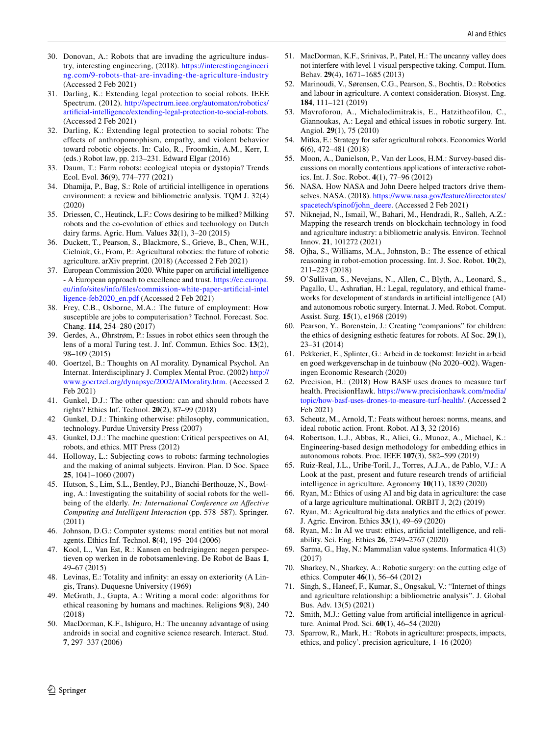- <span id="page-13-0"></span>30. Donovan, A.: Robots that are invading the agriculture industry, interesting engineering, (2018). [https://interestingengineeri](https://interestingengineering.com/9-robots-that-are-invading-the-agriculture-industry) [ng.com/9-robots-that-are-invading-the-agriculture-industry](https://interestingengineering.com/9-robots-that-are-invading-the-agriculture-industry) (Accessed 2 Feb 2021)
- <span id="page-13-17"></span>31. Darling, K.: Extending legal protection to social robots. IEEE Spectrum. (2012). [http://spectrum.ieee.org/automaton/robotics/](http://spectrum.ieee.org/automaton/robotics/artificial-intelligence/extending-legal-protection-to-social-robots) [artificial-intelligence/extending-legal-protection-to-social-robots](http://spectrum.ieee.org/automaton/robotics/artificial-intelligence/extending-legal-protection-to-social-robots). (Accessed 2 Feb 2021)
- 32. Darling, K.: Extending legal protection to social robots: The effects of anthropomophism, empathy, and violent behavior toward robotic objects. In: Calo, R., Froomkin, A.M., Kerr, I. (eds.) Robot law, pp. 213–231. Edward Elgar (2016)
- <span id="page-13-39"></span>33. Daum, T.: Farm robots: ecological utopia or dystopia? Trends Ecol. Evol. **36**(9), 774–777 (2021)
- <span id="page-13-5"></span>34. Dhamija, P., Bag, S.: Role of artifcial intelligence in operations environment: a review and bibliometric analysis. TQM J. 32(4) (2020)
- 35. Driessen, C., Heutinck, L.F.: Cows desiring to be milked? Milking robots and the co-evolution of ethics and technology on Dutch dairy farms. Agric. Hum. Values **32**(1), 3–20 (2015)
- <span id="page-13-35"></span>36. Duckett, T., Pearson, S., Blackmore, S., Grieve, B., Chen, W.H., Cielniak, G., From, P.: Agricultural robotics: the future of robotic agriculture. arXiv preprint. (2018) (Accessed 2 Feb 2021)
- <span id="page-13-4"></span>37. European Commission 2020. White paper on artifcial intelligence - A European approach to excellence and trust. [https://ec.europa.](https://ec.europa.eu/info/sites/info/files/commission-white-paper-artificial-intelligence-feb2020_en.pdf) [eu/info/sites/info/fles/commission-white-paper-artificial-intel](https://ec.europa.eu/info/sites/info/files/commission-white-paper-artificial-intelligence-feb2020_en.pdf) [ligence-feb2020\\_en.pdf](https://ec.europa.eu/info/sites/info/files/commission-white-paper-artificial-intelligence-feb2020_en.pdf) (Accessed 2 Feb 2021)
- <span id="page-13-34"></span>38. Frey, C.B., Osborne, M.A.: The future of employment: How susceptible are jobs to computerisation? Technol. Forecast. Soc. Chang. **114**, 254–280 (2017)
- <span id="page-13-9"></span>39. Gerdes, A., Øhrstrøm, P.: Issues in robot ethics seen through the lens of a moral Turing test. J. Inf. Commun. Ethics Soc. **13**(2), 98–109 (2015)
- <span id="page-13-16"></span>40. Goertzel, B.: Thoughts on AI morality. Dynamical Psychol. An Internat. Interdisciplinary J. Complex Mental Proc. (2002) [http://](http://www.goertzel.org/dynapsyc/2002/AIMorality.htm) [www.goertzel.org/dynapsyc/2002/AIMorality.htm](http://www.goertzel.org/dynapsyc/2002/AIMorality.htm). (Accessed 2 Feb 2021)
- <span id="page-13-18"></span>41. Gunkel, D.J.: The other question: can and should robots have rights? Ethics Inf. Technol. **20**(2), 87–99 (2018)
- <span id="page-13-19"></span>42 Gunkel, D.J.: Thinking otherwise: philosophy, communication, technology. Purdue University Press (2007)
- <span id="page-13-20"></span>43. Gunkel, D.J.: The machine question: Critical perspectives on AI, robots, and ethics. MIT Press (2012)
- 44. Holloway, L.: Subjecting cows to robots: farming technologies and the making of animal subjects. Environ. Plan. D Soc. Space **25**, 1041–1060 (2007)
- <span id="page-13-30"></span>45. Hutson, S., Lim, S.L., Bentley, P.J., Bianchi-Berthouze, N., Bowling, A.: Investigating the suitability of social robots for the wellbeing of the elderly*. In: International Conference on Afective Computing and Intelligent Interaction* (pp. 578–587). Springer. (2011)
- <span id="page-13-15"></span>46. Johnson, D.G.: Computer systems: moral entities but not moral agents. Ethics Inf. Technol. **8**(4), 195–204 (2006)
- <span id="page-13-33"></span>47. Kool, L., Van Est, R.: Kansen en bedreigingen: negen perspectieven op werken in de robotsamenleving. De Robot de Baas **1**, 49–67 (2015)
- <span id="page-13-21"></span>48. Levinas, E.: Totality and infnity: an essay on exteriority (A Lingis, Trans). Duquesne University (1969)
- <span id="page-13-11"></span>49. McGrath, J., Gupta, A.: Writing a moral code: algorithms for ethical reasoning by humans and machines. Religions **9**(8), 240 (2018)
- <span id="page-13-28"></span>50. MacDorman, K.F., Ishiguro, H.: The uncanny advantage of using androids in social and cognitive science research. Interact. Stud. **7**, 297–337 (2006)
- <span id="page-13-29"></span>51. MacDorman, K.F., Srinivas, P., Patel, H.: The uncanny valley does not interfere with level 1 visual perspective taking. Comput. Hum. Behav. **29**(4), 1671–1685 (2013)
- <span id="page-13-37"></span>52. Marinoudi, V., Sørensen, C.G., Pearson, S., Bochtis, D.: Robotics and labour in agriculture. A context consideration. Biosyst. Eng. **184**, 111–121 (2019)
- <span id="page-13-24"></span>53. Mavroforou, A., Michalodimitrakis, E., Hatzitheofilou, C., Giannoukas, A.: Legal and ethical issues in robotic surgery. Int. Angiol. **29**(1), 75 (2010)
- <span id="page-13-25"></span>54. Mitka, E.: Strategy for safer agricultural robots. Economics World **6**(6), 472–481 (2018)
- <span id="page-13-27"></span>55. Moon, A., Danielson, P., Van der Loos, H.M.: Survey-based discussions on morally contentious applications of interactive robotics. Int. J. Soc. Robot. **4**(1), 77–96 (2012)
- <span id="page-13-1"></span>56. NASA. How NASA and John Deere helped tractors drive themselves. NASA. (2018). [https://www.nasa.gov/feature/directorates/](https://www.nasa.gov/feature/directorates/spacetech/spinof/john_deere) [spacetech/spinof/john\\_deere.](https://www.nasa.gov/feature/directorates/spacetech/spinof/john_deere) (Accessed 2 Feb 2021)
- <span id="page-13-7"></span>57. Niknejad, N., Ismail, W., Bahari, M., Hendradi, R., Salleh, A.Z.: Mapping the research trends on blockchain technology in food and agriculture industry: a bibliometric analysis. Environ. Technol Innov. **21**, 101272 (2021)
- <span id="page-13-26"></span>58. Ojha, S., Williams, M.A., Johnston, B.: The essence of ethical reasoning in robot-emotion processing. Int. J. Soc. Robot. **10**(2), 211–223 (2018)
- <span id="page-13-22"></span>59. O'Sullivan, S., Nevejans, N., Allen, C., Blyth, A., Leonard, S., Pagallo, U., Ashrafan, H.: Legal, regulatory, and ethical frameworks for development of standards in artifcial intelligence (AI) and autonomous robotic surgery. Internat. J. Med. Robot. Comput. Assist. Surg. **15**(1), e1968 (2019)
- <span id="page-13-31"></span>60. Pearson, Y., Borenstein, J.: Creating "companions" for children: the ethics of designing esthetic features for robots. AI Soc. **29**(1), 23–31 (2014)
- <span id="page-13-32"></span>61. Pekkeriet, E., Splinter, G.: Arbeid in de toekomst: Inzicht in arbeid en goed werkgeverschap in de tuinbouw (No 2020–002). Wageningen Economic Research (2020)
- <span id="page-13-2"></span>62. Precision, H.: (2018) How BASF uses drones to measure turf health. PrecisionHawk. [https://www.precisionhawk.com/media/](https://www.precisionhawk.com/media/topic/how-basf-uses-drones-to-measure-turf-health/) [topic/how-basf-uses-drones-to-measure-turf-health/](https://www.precisionhawk.com/media/topic/how-basf-uses-drones-to-measure-turf-health/). (Accessed 2 Feb 2021)
- <span id="page-13-12"></span>63. Scheutz, M., Arnold, T.: Feats without heroes: norms, means, and ideal robotic action. Front. Robot. AI **3**, 32 (2016)
- <span id="page-13-8"></span>64. Robertson, L.J., Abbas, R., Alici, G., Munoz, A., Michael, K.: Engineering-based design methodology for embedding ethics in autonomous robots. Proc. IEEE **107**(3), 582–599 (2019)
- <span id="page-13-3"></span>65. Ruiz-Real, J.L., Uribe-Toril, J., Torres, A.J.A., de Pablo, V.J.: A Look at the past, present and future research trends of artifcial intelligence in agriculture. Agronomy **10**(11), 1839 (2020)
- <span id="page-13-13"></span>66. Ryan, M.: Ethics of using AI and big data in agriculture: the case of a large agriculture multinational. ORBIT J, 2(2) (2019)
- <span id="page-13-14"></span>67. Ryan, M.: Agricultural big data analytics and the ethics of power. J. Agric. Environ. Ethics **33**(1), 49–69 (2020)
- 68. Ryan, M.: In AI we trust: ethics, artifcial intelligence, and reliability. Sci. Eng. Ethics **26**, 2749–2767 (2020)
- <span id="page-13-10"></span>69. Sarma, G., Hay, N.: Mammalian value systems. Informatica 41(3) (2017)
- <span id="page-13-23"></span>70. Sharkey, N., Sharkey, A.: Robotic surgery: on the cutting edge of ethics. Computer **46**(1), 56–64 (2012)
- <span id="page-13-6"></span>71. Singh, S., Haneef, F., Kumar, S., Ongsakul, V.: "Internet of things and agriculture relationship: a bibliometric analysis". J. Global Bus. Adv. 13(5) (2021)
- <span id="page-13-36"></span>72. Smith, M.J.: Getting value from artifcial intelligence in agriculture. Animal Prod. Sci. **60**(1), 46–54 (2020)
- <span id="page-13-38"></span>73. Sparrow, R., Mark, H.: 'Robots in agriculture: prospects, impacts, ethics, and policy'. precision agriculture, 1–16 (2020)